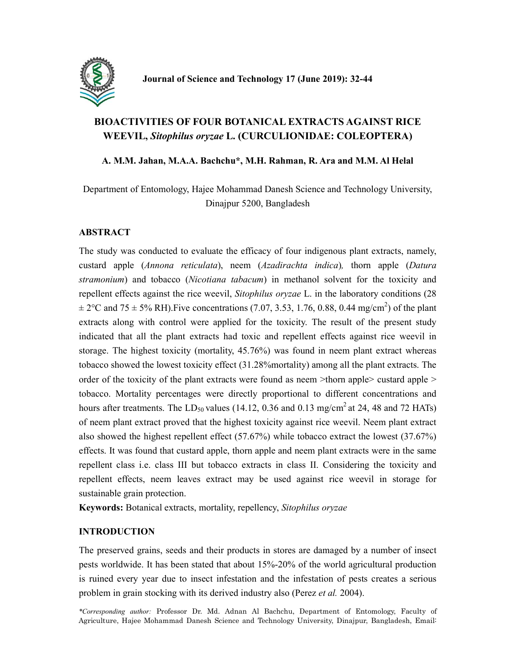

# BIOACTIVITIES OF FOUR BOTANICAL EXTRACTS AGAINST RICE WEEVIL, Sitophilus oryzae L. (CURCULIONIDAE: COLEOPTERA)

## A. M.M. Jahan, M.A.A. Bachchu\*, M.H. Rahman, R. Ara and M.M. Al Helal

Department of Entomology, Hajee Mohammad Danesh Science and Technology University, Dinajpur 5200, Bangladesh

# **ABSTRACT**

The study was conducted to evaluate the efficacy of four indigenous plant extracts, namely, custard apple (Annona reticulata), neem (Azadirachta indica), thorn apple (Datura stramonium) and tobacco (Nicotiana tabacum) in methanol solvent for the toxicity and repellent effects against the rice weevil, Sitophilus oryzae L. in the laboratory conditions (28  $\pm 2^{\circ}$ C and 75  $\pm$  5% RH). Five concentrations (7.07, 3.53, 1.76, 0.88, 0.44 mg/cm<sup>2</sup>) of the plant extracts along with control were applied for the toxicity. The result of the present study indicated that all the plant extracts had toxic and repellent effects against rice weevil in storage. The highest toxicity (mortality, 45.76%) was found in neem plant extract whereas tobacco showed the lowest toxicity effect (31.28%mortality) among all the plant extracts. The order of the toxicity of the plant extracts were found as neem >thorn apple> custard apple > tobacco. Mortality percentages were directly proportional to different concentrations and hours after treatments. The  $LD_{50}$  values (14.12, 0.36 and 0.13 mg/cm<sup>2</sup> at 24, 48 and 72 HATs) of neem plant extract proved that the highest toxicity against rice weevil. Neem plant extract also showed the highest repellent effect (57.67%) while tobacco extract the lowest (37.67%) effects. It was found that custard apple, thorn apple and neem plant extracts were in the same repellent class i.e. class III but tobacco extracts in class II. Considering the toxicity and repellent effects, neem leaves extract may be used against rice weevil in storage for sustainable grain protection.

Keywords: Botanical extracts, mortality, repellency, Sitophilus oryzae

## INTRODUCTION

The preserved grains, seeds and their products in stores are damaged by a number of insect pests worldwide. It has been stated that about 15%-20% of the world agricultural production is ruined every year due to insect infestation and the infestation of pests creates a serious problem in grain stocking with its derived industry also (Perez *et al.* 2004).

32 Agriculture, Hajee Mohammad Danesh Science and Technology University, Dinajpur, Bangladesh, Email: \*Corresponding author: Professor Dr. Md. Adnan Al Bachchu, Department of Entomology, Faculty of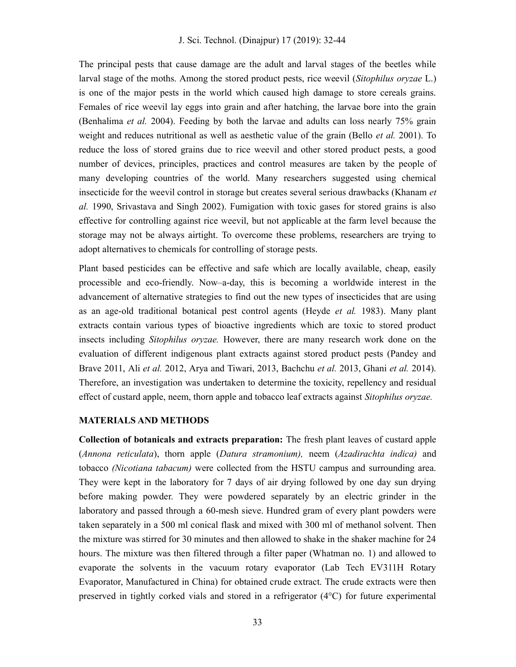The principal pests that cause damage are the adult and larval stages of the beetles while larval stage of the moths. Among the stored product pests, rice weevil (Sitophilus oryzae L.) is one of the major pests in the world which caused high damage to store cereals grains. Females of rice weevil lay eggs into grain and after hatching, the larvae bore into the grain (Benhalima *et al.* 2004). Feeding by both the larvae and adults can loss nearly 75% grain weight and reduces nutritional as well as aesthetic value of the grain (Bello *et al.* 2001). To reduce the loss of stored grains due to rice weevil and other stored product pests, a good number of devices, principles, practices and control measures are taken by the people of many developing countries of the world. Many researchers suggested using chemical insecticide for the weevil control in storage but creates several serious drawbacks (Khanam et al. 1990, Srivastava and Singh 2002). Fumigation with toxic gases for stored grains is also effective for controlling against rice weevil, but not applicable at the farm level because the storage may not be always airtight. To overcome these problems, researchers are trying to adopt alternatives to chemicals for controlling of storage pests.

Plant based pesticides can be effective and safe which are locally available, cheap, easily processible and eco-friendly. Now–a-day, this is becoming a worldwide interest in the advancement of alternative strategies to find out the new types of insecticides that are using as an age-old traditional botanical pest control agents (Heyde et al. 1983). Many plant extracts contain various types of bioactive ingredients which are toxic to stored product insects including *Sitophilus oryzae*. However, there are many research work done on the evaluation of different indigenous plant extracts against stored product pests (Pandey and Brave 2011, Ali et al. 2012, Arya and Tiwari, 2013, Bachchu et al. 2013, Ghani et al. 2014). Therefore, an investigation was undertaken to determine the toxicity, repellency and residual effect of custard apple, neem, thorn apple and tobacco leaf extracts against *Sitophilus oryzae*.

#### MATERIALS AND METHODS

Collection of botanicals and extracts preparation: The fresh plant leaves of custard apple (Annona reticulata), thorn apple (Datura stramonium), neem (Azadirachta indica) and tobacco (Nicotiana tabacum) were collected from the HSTU campus and surrounding area. They were kept in the laboratory for 7 days of air drying followed by one day sun drying before making powder. They were powdered separately by an electric grinder in the laboratory and passed through a 60-mesh sieve. Hundred gram of every plant powders were taken separately in a 500 ml conical flask and mixed with 300 ml of methanol solvent. Then the mixture was stirred for 30 minutes and then allowed to shake in the shaker machine for 24 hours. The mixture was then filtered through a filter paper (Whatman no. 1) and allowed to evaporate the solvents in the vacuum rotary evaporator (Lab Tech EV311H Rotary Evaporator, Manufactured in China) for obtained crude extract. The crude extracts were then preserved in tightly corked vials and stored in a refrigerator (4°C) for future experimental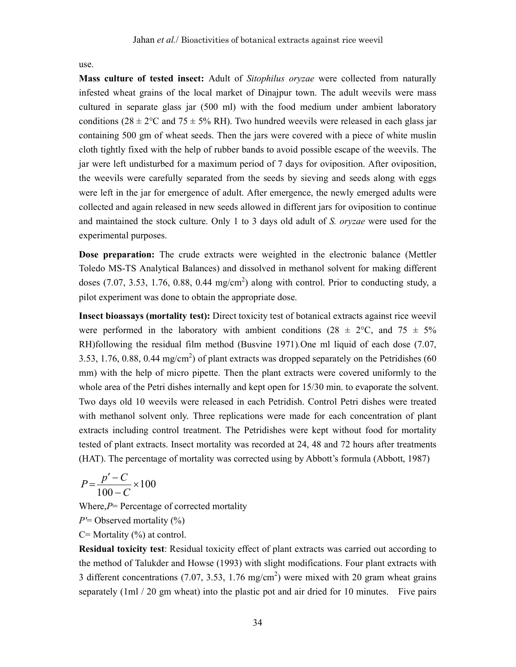use.

Mass culture of tested insect: Adult of Sitophilus oryzae were collected from naturally infested wheat grains of the local market of Dinajpur town. The adult weevils were mass cultured in separate glass jar (500 ml) with the food medium under ambient laboratory conditions (28  $\pm$  2°C and 75  $\pm$  5% RH). Two hundred weevils were released in each glass jar containing 500 gm of wheat seeds. Then the jars were covered with a piece of white muslin cloth tightly fixed with the help of rubber bands to avoid possible escape of the weevils. The jar were left undisturbed for a maximum period of 7 days for oviposition. After oviposition, the weevils were carefully separated from the seeds by sieving and seeds along with eggs were left in the jar for emergence of adult. After emergence, the newly emerged adults were collected and again released in new seeds allowed in different jars for oviposition to continue and maintained the stock culture. Only 1 to 3 days old adult of S. oryzae were used for the experimental purposes.

Dose preparation: The crude extracts were weighted in the electronic balance (Mettler Toledo MS-TS Analytical Balances) and dissolved in methanol solvent for making different doses (7.07, 3.53, 1.76, 0.88, 0.44 mg/cm<sup>2</sup>) along with control. Prior to conducting study, a pilot experiment was done to obtain the appropriate dose.

Insect bioassays (mortality test): Direct toxicity test of botanical extracts against rice weevil were performed in the laboratory with ambient conditions (28  $\pm$  2°C, and 75  $\pm$  5% RH)following the residual film method (Busvine 1971).One ml liquid of each dose (7.07, 3.53, 1.76, 0.88, 0.44 mg/cm<sup>2</sup>) of plant extracts was dropped separately on the Petridishes (60 mm) with the help of micro pipette. Then the plant extracts were covered uniformly to the whole area of the Petri dishes internally and kept open for 15/30 min. to evaporate the solvent. Two days old 10 weevils were released in each Petridish. Control Petri dishes were treated with methanol solvent only. Three replications were made for each concentration of plant extracts including control treatment. The Petridishes were kept without food for mortality tested of plant extracts. Insect mortality was recorded at 24, 48 and 72 hours after treatments (HAT). The percentage of mortality was corrected using by Abbott's formula (Abbott, 1987)

$$
P = \frac{p' - C}{100 - C} \times 100
$$

Where, $P=$  Percentage of corrected mortality

 $P'$  = Observed mortality  $(\%)$ 

 $C=$  Mortality  $(\%)$  at control.

Residual toxicity test: Residual toxicity effect of plant extracts was carried out according to the method of Talukder and Howse (1993) with slight modifications. Four plant extracts with 3 different concentrations (7.07, 3.53, 1.76 mg/cm<sup>2</sup>) were mixed with 20 gram wheat grains separately (1ml / 20 gm wheat) into the plastic pot and air dried for 10 minutes. Five pairs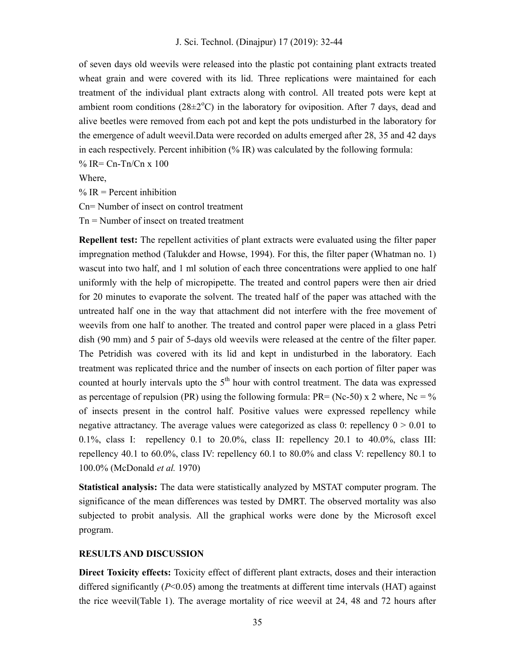of seven days old weevils were released into the plastic pot containing plant extracts treated wheat grain and were covered with its lid. Three replications were maintained for each treatment of the individual plant extracts along with control. All treated pots were kept at ambient room conditions ( $28\pm2^{\circ}$ C) in the laboratory for oviposition. After 7 days, dead and alive beetles were removed from each pot and kept the pots undisturbed in the laboratory for the emergence of adult weevil.Data were recorded on adults emerged after 28, 35 and 42 days in each respectively. Percent inhibition (% IR) was calculated by the following formula:

 $% IR = Cn-Tn/Cn \times 100$ 

Where,

 $% IR = Percent inhibition$ Cn= Number of insect on control treatment

Tn = Number of insect on treated treatment

Repellent test: The repellent activities of plant extracts were evaluated using the filter paper impregnation method (Talukder and Howse, 1994). For this, the filter paper (Whatman no. 1) wascut into two half, and 1 ml solution of each three concentrations were applied to one half uniformly with the help of micropipette. The treated and control papers were then air dried for 20 minutes to evaporate the solvent. The treated half of the paper was attached with the untreated half one in the way that attachment did not interfere with the free movement of weevils from one half to another. The treated and control paper were placed in a glass Petri dish (90 mm) and 5 pair of 5-days old weevils were released at the centre of the filter paper. The Petridish was covered with its lid and kept in undisturbed in the laboratory. Each treatment was replicated thrice and the number of insects on each portion of filter paper was counted at hourly intervals upto the  $5<sup>th</sup>$  hour with control treatment. The data was expressed as percentage of repulsion (PR) using the following formula: PR= (Nc-50) x 2 where, Nc = % of insects present in the control half. Positive values were expressed repellency while negative attractancy. The average values were categorized as class 0: repellency  $0 > 0.01$  to 0.1%, class I: repellency 0.1 to 20.0%, class II: repellency 20.1 to 40.0%, class III: repellency 40.1 to 60.0%, class IV: repellency 60.1 to 80.0% and class V: repellency 80.1 to 100.0% (McDonald et al. 1970)

Statistical analysis: The data were statistically analyzed by MSTAT computer program. The significance of the mean differences was tested by DMRT. The observed mortality was also subjected to probit analysis. All the graphical works were done by the Microsoft excel program.

#### RESULTS AND DISCUSSION

Direct Toxicity effects: Toxicity effect of different plant extracts, doses and their interaction differed significantly  $(P<0.05)$  among the treatments at different time intervals (HAT) against the rice weevil(Table 1). The average mortality of rice weevil at 24, 48 and 72 hours after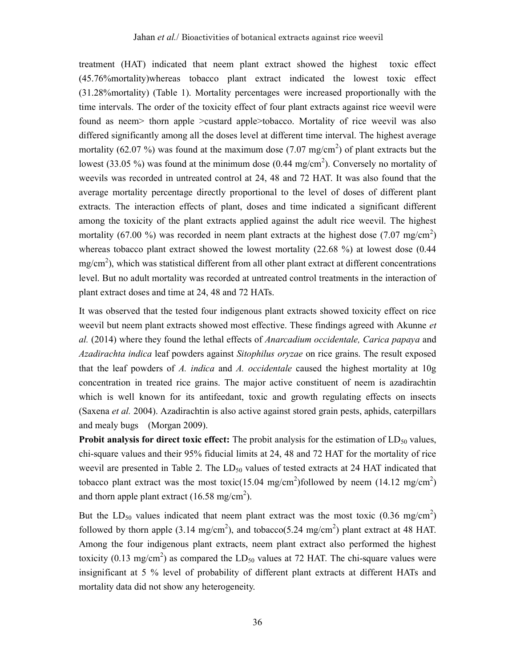treatment (HAT) indicated that neem plant extract showed the highest toxic effect (45.76%mortality)whereas tobacco plant extract indicated the lowest toxic effect (31.28%mortality) (Table 1). Mortality percentages were increased proportionally with the time intervals. The order of the toxicity effect of four plant extracts against rice weevil were found as neem> thorn apple >custard apple>tobacco. Mortality of rice weevil was also differed significantly among all the doses level at different time interval. The highest average mortality (62.07 %) was found at the maximum dose (7.07 mg/cm<sup>2</sup>) of plant extracts but the lowest (33.05 %) was found at the minimum dose (0.44 mg/cm<sup>2</sup>). Conversely no mortality of weevils was recorded in untreated control at 24, 48 and 72 HAT. It was also found that the average mortality percentage directly proportional to the level of doses of different plant extracts. The interaction effects of plant, doses and time indicated a significant different among the toxicity of the plant extracts applied against the adult rice weevil. The highest mortality (67.00 %) was recorded in neem plant extracts at the highest dose (7.07 mg/cm<sup>2</sup>) whereas tobacco plant extract showed the lowest mortality (22.68 %) at lowest dose (0.44  $mg/cm<sup>2</sup>$ ), which was statistical different from all other plant extract at different concentrations level. But no adult mortality was recorded at untreated control treatments in the interaction of plant extract doses and time at 24, 48 and 72 HATs.

It was observed that the tested four indigenous plant extracts showed toxicity effect on rice weevil but neem plant extracts showed most effective. These findings agreed with Akunne et al. (2014) where they found the lethal effects of Anarcadium occidentale, Carica papaya and Azadirachta indica leaf powders against Sitophilus oryzae on rice grains. The result exposed that the leaf powders of A. *indica* and A. *occidentale* caused the highest mortality at  $10g$ concentration in treated rice grains. The major active constituent of neem is azadirachtin which is well known for its antifeedant, toxic and growth regulating effects on insects (Saxena et al. 2004). Azadirachtin is also active against stored grain pests, aphids, caterpillars and mealy bugs (Morgan 2009).

**Probit analysis for direct toxic effect:** The probit analysis for the estimation of  $LD_{50}$  values, chi-square values and their 95% fiducial limits at 24, 48 and 72 HAT for the mortality of rice weevil are presented in Table 2. The  $LD_{50}$  values of tested extracts at 24 HAT indicated that tobacco plant extract was the most toxic(15.04 mg/cm<sup>2</sup>)followed by neem (14.12 mg/cm<sup>2</sup>) and thorn apple plant extract (16.58 mg/cm<sup>2</sup>).

But the LD<sub>50</sub> values indicated that neem plant extract was the most toxic  $(0.36 \text{ mg/cm}^2)$ followed by thorn apple (3.14 mg/cm<sup>2</sup>), and tobacco(5.24 mg/cm<sup>2</sup>) plant extract at 48 HAT. Among the four indigenous plant extracts, neem plant extract also performed the highest toxicity (0.13 mg/cm<sup>2</sup>) as compared the  $LD_{50}$  values at 72 HAT. The chi-square values were insignificant at 5 % level of probability of different plant extracts at different HATs and mortality data did not show any heterogeneity.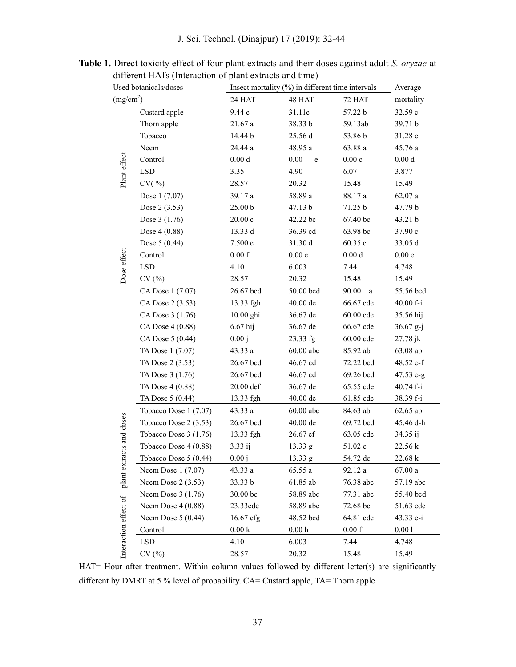J. Sci. Technol. (Dinajpur) 17 (2019): 32-44

| Used botanicals/doses<br>(mg/cm <sup>2</sup> )   |                        | Insect mortality (%) in different time intervals | Average             |                   |                |
|--------------------------------------------------|------------------------|--------------------------------------------------|---------------------|-------------------|----------------|
|                                                  |                        | 24 HAT                                           | 48 HAT              | 72 HAT            | mortality      |
| Plant effect                                     | Custard apple          | 9.44 с                                           | 31.11c              | 57.22 b           | 32.59 c        |
|                                                  | Thorn apple            | 21.67 a                                          | 38.33 b             | 59.13ab           | 39.71 b        |
|                                                  | Tobacco                | 14.44 b                                          | 25.56 d             | 53.86 b           | 31.28 c        |
|                                                  | Neem                   | 24.44 a                                          | 48.95 a             | 63.88a            | 45.76 a        |
|                                                  | Control                | $0.00\;\rm{d}$                                   | 0.00<br>$\mathbf e$ | 0.00c             | $0.00\;\rm{d}$ |
|                                                  | <b>LSD</b>             | 3.35                                             | 4.90                | 6.07              | 3.877          |
|                                                  | CV( %)                 | 28.57                                            | 20.32               | 15.48             | 15.49          |
|                                                  | Dose 1 (7.07)          | 39.17 a                                          | 58.89 a             | 88.17 a           | 62.07a         |
|                                                  | Dose 2 (3.53)          | 25.00 b                                          | 47.13 b             | 71.25 b           | 47.79 b        |
|                                                  | Dose 3 (1.76)          | $20.00\,\mathrm{c}$                              | 42.22 bc            | 67.40 bc          | 43.21 b        |
|                                                  | Dose 4 (0.88)          | 13.33 d                                          | 36.39 cd            | 63.98 bc          | 37.90 c        |
|                                                  | Dose 5 (0.44)          | 7.500 e                                          | 31.30 d             | 60.35c            | 33.05 d        |
|                                                  | Control                | 0.00 f                                           | 0.00e               | $0.00\;\rm{d}$    | 0.00e          |
|                                                  | <b>LSD</b>             | 4.10                                             | 6.003               | 7.44              | 4.748          |
| Dose effect                                      | CV(%)                  | 28.57                                            | 20.32               | 15.48             | 15.49          |
|                                                  | CA Dose 1 (7.07)       | 26.67 bcd                                        | 50.00 bcd           | 90.00<br>$\rm{a}$ | 55.56 bcd      |
|                                                  | CA Dose 2 (3.53)       | 13.33 fgh                                        | 40.00 de            | 66.67 cde         | 40.00 f-i      |
|                                                  | CA Dose 3 (1.76)       | 10.00 ghi                                        | 36.67 de            | 60.00 cde         | 35.56 hij      |
|                                                  | CA Dose 4 (0.88)       | $6.67$ hij                                       | 36.67 de            | 66.67 cde         | $36.67$ g-j    |
|                                                  | CA Dose 5 (0.44)       | 0.00j                                            | 23.33 fg            | 60.00 cde         | 27.78 jk       |
|                                                  | TA Dose 1 (7.07)       | 43.33 a                                          | $60.00$ abc         | 85.92 ab          | 63.08 ab       |
|                                                  | TA Dose 2 (3.53)       | 26.67 bcd                                        | 46.67 cd            | 72.22 bcd         | 48.52 c-f      |
|                                                  | TA Dose 3 (1.76)       | 26.67 bcd                                        | 46.67 cd            | 69.26 bcd         | $47.53 c-g$    |
|                                                  | TA Dose 4 (0.88)       | 20.00 def                                        | 36.67 de            | 65.55 cde         | 40.74 f-i      |
|                                                  | TA Dose 5 (0.44)       | 13.33 fgh                                        | 40.00 de            | 61.85 cde         | 38.39 f-i      |
|                                                  | Tobacco Dose 1 (7.07)  | 43.33 a                                          | $60.00$ abc         | 84.63 ab          | 62.65 ab       |
| plant extracts and doses<br>nteraction effect of | Tobacco Dose 2 (3.53)  | 26.67 bcd                                        | 40.00 de            | 69.72 bcd         | 45.46 d-h      |
|                                                  | Tobacco Dose 3 (1.76)  | 13.33 fgh                                        | 26.67 ef            | 63.05 cde         | $34.35$ ij     |
|                                                  | Tobacco Dose 4 (0.88)  | 3.33 ij                                          | 13.33 g             | 51.02 e           | 22.56 k        |
|                                                  | Tobacco Dose $5(0.44)$ | 0.00 i                                           | $13.33 \text{ g}$   | 54.72 de          | 22.68 k        |
|                                                  | Neem Dose 1 (7.07)     | 43.33 a                                          | 65.55a              | 92.12 a           | 67.00a         |
|                                                  | Neem Dose $2(3.53)$    | 33.33 b                                          | $61.85$ ab          | 76.38 abc         | 57.19 abc      |
|                                                  | Neem Dose $3(1.76)$    | 30.00 bc                                         | 58.89 abc           | 77.31 abc         | 55.40 bcd      |
|                                                  | Neem Dose 4 (0.88)     | 23.33cde                                         | 58.89 abc           | 72.68 bc          | 51.63 cde      |
|                                                  | Neem Dose $5(0.44)$    | 16.67 efg                                        | 48.52 bcd           | 64.81 cde         | 43.33 e-i      |
|                                                  | Control                | $0.00\ \mathrm{k}$                               | $0.00\,\mathrm{h}$  | 0.00 f            | 0.001          |
|                                                  | LSD                    | 4.10                                             | 6.003               | 7.44              | 4.748          |
|                                                  | CV(%)                  | 28.57                                            | 20.32               | 1548              | 15.49          |

Table 1. Direct toxicity effect of four plant extracts and their doses against adult S. oryzae at different HATs (Interaction of plant extracts and time)

HAT= Hour after treatment. Within column values followed by different letter(s) are significantly different by DMRT at 5 % level of probability. CA= Custard apple, TA= Thorn apple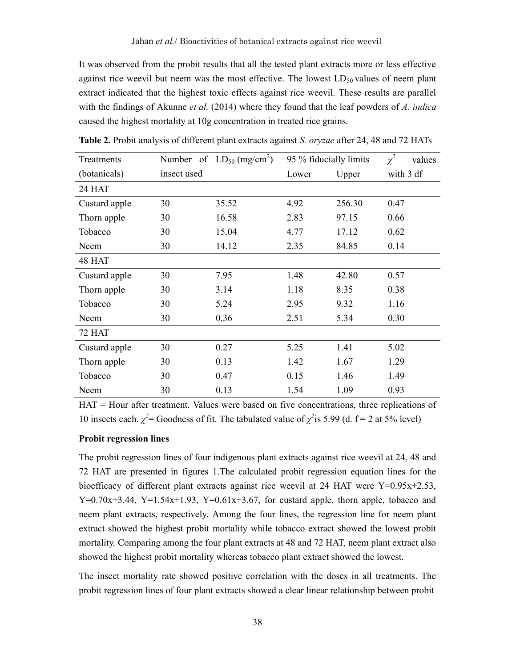It was observed from the probit results that all the tested plant extracts more or less effective against rice weevil but neem was the most effective. The lowest  $LD_{50}$  values of neem plant extract indicated that the highest toxic effects against rice weevil. These results are parallel with the findings of Akunne *et al.* (2014) where they found that the leaf powders of  $A$ . *indica* caused the highest mortality at 10g concentration in treated rice grains.

| Treatments    |             | Number of $LD_{50}$ (mg/cm <sup>2</sup> ) | 95 % fiducially limits |        | $\chi^2$<br>values |  |
|---------------|-------------|-------------------------------------------|------------------------|--------|--------------------|--|
| (botanicals)  | insect used |                                           | Lower                  | Upper  | with 3 df          |  |
| 24 HAT        |             |                                           |                        |        |                    |  |
| Custard apple | 30          | 35.52                                     | 4.92                   | 256.30 | 0.47               |  |
| Thorn apple   | 30          | 16.58                                     | 2.83                   | 97.15  | 0.66               |  |
| Tobacco       | 30          | 15.04                                     | 4.77                   | 17.12  | 0.62               |  |
| Neem          | 30          | 14.12                                     | 2.35                   | 84.85  | 0.14               |  |
| 48 HAT        |             |                                           |                        |        |                    |  |
| Custard apple | 30          | 7.95                                      | 1.48                   | 42.80  | 0.57               |  |
| Thorn apple   | 30          | 3.14                                      | 1.18                   | 8.35   | 0.38               |  |
| Tobacco       | 30          | 5.24                                      | 2.95                   | 9.32   | 1.16               |  |
| Neem          | 30          | 0.36                                      | 2.51                   | 5.34   | 0.30               |  |
| 72 HAT        |             |                                           |                        |        |                    |  |
| Custard apple | 30          | 0.27                                      | 5.25                   | 1.41   | 5.02               |  |
| Thorn apple   | 30          | 0.13                                      | 1.42                   | 1.67   | 1.29               |  |
| Tobacco       | 30          | 0.47                                      | 0.15                   | 1.46   | 1.49               |  |
| Neem          | 30          | 0.13                                      | 1.54<br>1.09           |        | 0.93               |  |

Table 2. Probit analysis of different plant extracts against S. oryzae after 24, 48 and 72 HATs

HAT = Hour after treatment. Values were based on five concentrations, three replications of 10 insects each.  $\chi^2$  = Goodness of fit. The tabulated value of  $\chi^2$  is 5.99 (d. f = 2 at 5% level)

### Probit regression lines

The probit regression lines of four indigenous plant extracts against rice weevil at 24, 48 and 72 HAT are presented in figures 1.The calculated probit regression equation lines for the bioefficacy of different plant extracts against rice weevil at 24 HAT were Y=0.95x+2.53,  $Y=0.70x+3.44$ ,  $Y=1.54x+1.93$ ,  $Y=0.61x+3.67$ , for custard apple, thorn apple, tobacco and neem plant extracts, respectively. Among the four lines, the regression line for neem plant extract showed the highest probit mortality while tobacco extract showed the lowest probit mortality. Comparing among the four plant extracts at 48 and 72 HAT, neem plant extract also showed the highest probit mortality whereas tobacco plant extract showed the lowest.

The insect mortality rate showed positive correlation with the doses in all treatments. The probit regression lines of four plant extracts showed a clear linear relationship between probit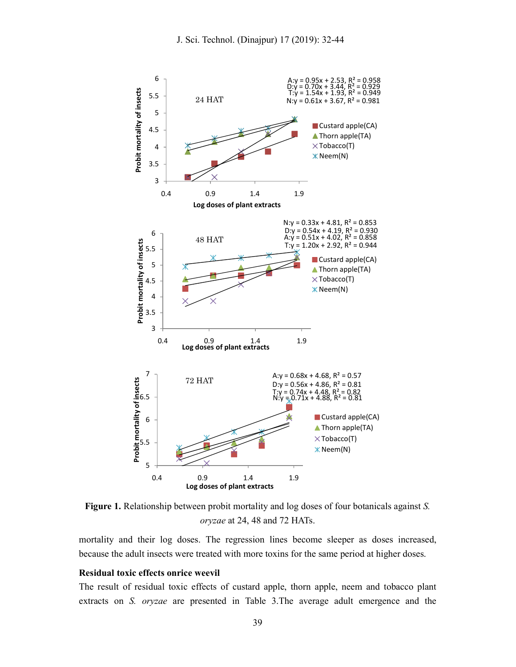

Figure 1. Relationship between probit mortality and log doses of four botanicals against S. oryzae at 24, 48 and 72 HATs.

mortality and their log doses. The regression lines become sleeper as doses increased, because the adult insects were treated with more toxins for the same period at higher doses.

### Residual toxic effects onrice weevil

The result of residual toxic effects of custard apple, thorn apple, neem and tobacco plant extracts on S. oryzae are presented in Table 3.The average adult emergence and the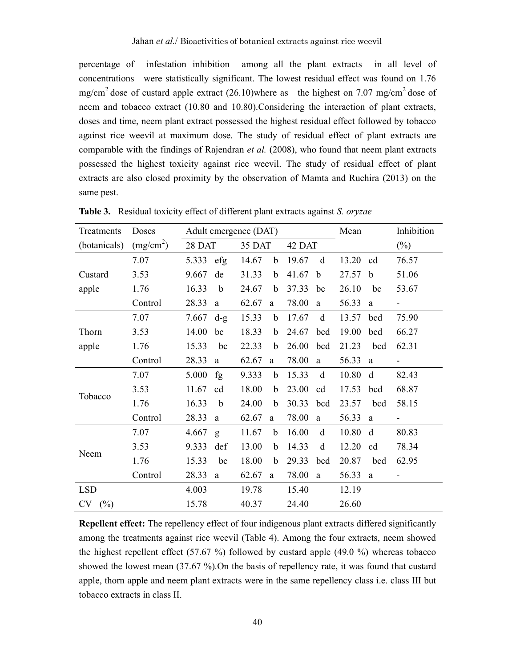percentage of infestation inhibition among all the plant extracts in all level of concentrations were statistically significant. The lowest residual effect was found on 1.76 mg/cm<sup>2</sup> dose of custard apple extract  $(26.10)$  where as the highest on 7.07 mg/cm<sup>2</sup> dose of neem and tobacco extract (10.80 and 10.80).Considering the interaction of plant extracts, doses and time, neem plant extract possessed the highest residual effect followed by tobacco against rice weevil at maximum dose. The study of residual effect of plant extracts are comparable with the findings of Rajendran et al. (2008), who found that neem plant extracts possessed the highest toxicity against rice weevil. The study of residual effect of plant extracts are also closed proximity by the observation of Mamta and Ruchira (2013) on the same pest.

| Treatments   | Doses                 | Adult emergence (DAT) |              |        |             | Mean   |              | Inhibition |             |        |
|--------------|-----------------------|-----------------------|--------------|--------|-------------|--------|--------------|------------|-------------|--------|
| (botanicals) | (mg/cm <sup>2</sup> ) | 28 DAT                |              | 35 DAT |             | 42 DAT |              |            |             | $(\%)$ |
|              | 7.07                  | 5.333                 | efg          | 14.67  | $\mathbf b$ | 19.67  | d            | 13.20      | cd          | 76.57  |
| Custard      | 3.53                  | 9.667                 | de           | 31.33  | $\mathbf b$ | 41.67  | $\mathbf b$  | 27.57      | $\mathbf b$ | 51.06  |
| apple        | 1.76                  | 16.33                 | $\mathbf b$  | 24.67  | $\mathbf b$ | 37.33  | bc           | 26.10      | bc          | 53.67  |
|              | Control               | 28.33                 | a            | 62.67  | a           | 78.00  | $\rm{a}$     | 56.33      | a           |        |
|              | 7.07                  | 7.667                 | $d-g$        | 15.33  | $\mathbf b$ | 17.67  | d            | 13.57      | bcd         | 75.90  |
| Thorn        | 3.53                  | 14.00                 | bc           | 18.33  | b           | 24.67  | bcd          | 19.00      | bcd         | 66.27  |
| apple        | 1.76                  | 15.33                 | bc           | 22.33  | $\mathbf b$ | 26.00  | bcd          | 21.23      | bcd         | 62.31  |
|              | Control               | 28.33                 | a            | 62.67  | a           | 78.00  | $\rm{a}$     | 56.33      | a           |        |
|              | 7.07                  | 5.000                 | fg           | 9.333  | $\mathbf b$ | 15.33  | d            | 10.80      | d           | 82.43  |
| Tobacco      | 3.53                  | 11.67                 | cd           | 18.00  | $\mathbf b$ | 23.00  | cd           | 17.53      | bcd         | 68.87  |
|              | 1.76                  | 16.33                 | $\mathbf b$  | 24.00  | b           | 30.33  | bcd          | 23.57      | bcd         | 58.15  |
|              | Control               | 28.33                 | a            | 62.67  | a           | 78.00  | $\mathbf{a}$ | 56.33      | a           |        |
|              | 7.07                  | 4.667                 | $\mathbf{g}$ | 11.67  | $\mathbf b$ | 16.00  | d            | 10.80      | d           | 80.83  |
| Neem         | 3.53                  | 9.333                 | def          | 13.00  | $\mathbf b$ | 14.33  | $\mathbf d$  | 12.20      | cd          | 78.34  |
|              | 1.76                  | 15.33                 | bc           | 18.00  | b           | 29.33  | bcd          | 20.87      | bcd         | 62.95  |
|              | Control               | 28.33                 | a            | 62.67  | a           | 78.00  | a            | 56.33      | a           |        |
| <b>LSD</b>   |                       | 4.003                 |              | 19.78  |             | 15.40  |              | 12.19      |             |        |
| (%)<br>CV    |                       | 15.78                 |              | 40.37  |             | 24.40  |              | 26.60      |             |        |

Table 3. Residual toxicity effect of different plant extracts against S. oryzae

Repellent effect: The repellency effect of four indigenous plant extracts differed significantly among the treatments against rice weevil (Table 4). Among the four extracts, neem showed the highest repellent effect (57.67 %) followed by custard apple (49.0 %) whereas tobacco showed the lowest mean (37.67 %).On the basis of repellency rate, it was found that custard apple, thorn apple and neem plant extracts were in the same repellency class i.e. class III but tobacco extracts in class II.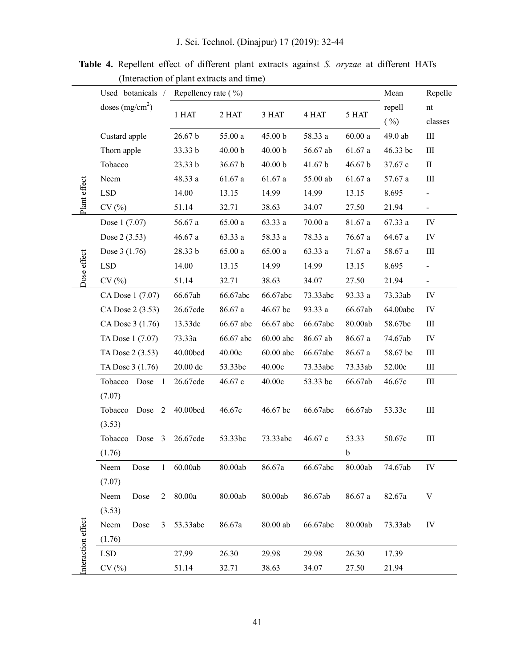|                    | Repellency rate (%)<br>Used botanicals / |                   |                    |             |          |         | Mean     | Repelle                    |
|--------------------|------------------------------------------|-------------------|--------------------|-------------|----------|---------|----------|----------------------------|
|                    | doses $(mg/cm2)$                         | 1 HAT             | 2 HAT              | 3 HAT       | 4 HAT    | 5 HAT   | repell   | $\mathop{\rm nt}\nolimits$ |
|                    |                                          |                   |                    |             |          |         | ( %)     | classes                    |
|                    | Custard apple                            | 26.67 b           | $55.00a$           | 45.00 b     | 58.33 a  | 60.00a  | 49.0 ab  | $\rm III$                  |
| Plant effect       | Thorn apple                              | 33.33 b           | 40.00 <sub>b</sub> | 40.00 b     | 56.67 ab | 61.67a  | 46.33 bc | $\rm III$                  |
|                    | Tobacco                                  | 23.33 b           | 36.67 b            | 40.00 b     | 41.67 b  | 46.67 b | 37.67 c  | $\mathbf{I}$               |
|                    | Neem                                     | 48.33 a           | 61.67a             | 61.67 a     | 55.00 ab | 61.67a  | 57.67 a  | $\rm III$                  |
|                    | <b>LSD</b>                               | 14.00             | 13.15              | 14.99       | 14.99    | 13.15   | 8.695    |                            |
|                    | CV(%)                                    | 51.14             | 32.71              | 38.63       | 34.07    | 27.50   | 21.94    | $\frac{1}{2}$              |
|                    | Dose 1 (7.07)                            | 56.67 a           | 65.00a             | 63.33 a     | 70.00a   | 81.67 a | 67.33 a  | IV                         |
|                    | Dose 2 (3.53)                            | 46.67a            | 63.33 a            | 58.33 a     | 78.33 a  | 76.67a  | 64.67 a  | IV                         |
|                    | Dose 3 (1.76)                            | 28.33 b           | 65.00a             | $65.00\ a$  | 63.33 a  | 71.67a  | 58.67 a  | $\rm III$                  |
|                    | <b>LSD</b>                               | 14.00             | 13.15              | 14.99       | 14.99    | 13.15   | 8.695    | $\blacksquare$             |
| Dose effect        | CV(%)                                    | 51.14             | 32.71              | 38.63       | 34.07    | 27.50   | 21.94    | $\blacksquare$             |
|                    | CA Dose 1 (7.07)                         | 66.67ab           | 66.67abc           | 66.67abc    | 73.33abc | 93.33 a | 73.33ab  | IV                         |
|                    | CA Dose 2 (3.53)                         | 26.67cde          | 86.67 a            | 46.67 bc    | 93.33 a  | 66.67ab | 64.00abc | IV                         |
|                    | CA Dose 3 (1.76)                         | 13.33de           | 66.67 abc          | 66.67 abc   | 66.67abc | 80.00ab | 58.67bc  | $\rm III$                  |
|                    | TA Dose 1 (7.07)                         | 73.33a            | 66.67 abc          | $60.00$ abc | 86.67 ab | 86.67 a | 74.67ab  | IV                         |
|                    | TA Dose 2 (3.53)                         | 40.00bcd          | 40.00c             | $60.00$ abc | 66.67abc | 86.67 a | 58.67 bc | $\rm III$                  |
|                    | TA Dose 3 (1.76)                         | 20.00 de          | 53.33bc            | 40.00c      | 73.33abc | 73.33ab | 52.00c   | $\rm III$                  |
|                    | Tobacco<br>Dose<br>$\mathbf{1}$          | 26.67cde          | 46.67 c            | 40.00c      | 53.33 bc | 66.67ab | 46.67c   | Ш                          |
|                    | (7.07)                                   |                   |                    |             |          |         |          |                            |
|                    | Tobacco<br>Dose<br>2                     | 40.00bcd          | 46.67c             | 46.67 bc    | 66.67abc | 66.67ab | 53.33c   | $\rm III$                  |
|                    | (3.53)                                   |                   |                    |             |          |         |          |                            |
|                    | Tobacco<br>Dose<br>3                     | 26.67cde          | 53.33bc            | 73.33abc    | 46.67c   | 53.33   | 50.67c   | $\rm III$                  |
|                    | (1.76)                                   |                   |                    |             |          | b       |          |                            |
| Interaction effect | Neem<br>Dose<br>1                        | 60.00ab           | 80.00ab            | 86.67a      | 66.67abc | 80.00ab | 74.67ab  | IV                         |
|                    | (7.07)                                   |                   |                    |             |          |         |          |                            |
|                    | Neem<br>Dose<br>$\overline{2}$           | $80.00\mathrm{a}$ | 80.00ab            | 80.00ab     | 86.67ab  | 86.67 a | 82.67a   | $\ensuremath{\mathbf{V}}$  |
|                    | (3.53)                                   |                   |                    |             |          |         |          |                            |
|                    | Neem<br>Dose<br>3                        | 53.33abc          | 86.67a             | 80.00 ab    | 66.67abc | 80.00ab | 73.33ab  | IV                         |
|                    | (1.76)                                   |                   |                    |             |          |         |          |                            |
|                    | <b>LSD</b>                               | 27.99             | 26.30              | 29.98       | 29.98    | 26.30   | 17.39    |                            |
|                    | CV(%)                                    | 51.14             | 32.71              | 38.63       | 34.07    | 27.50   | 21.94    |                            |

Table 4. Repellent effect of different plant extracts against S. oryzae at different HATs (Interaction of plant extracts and time)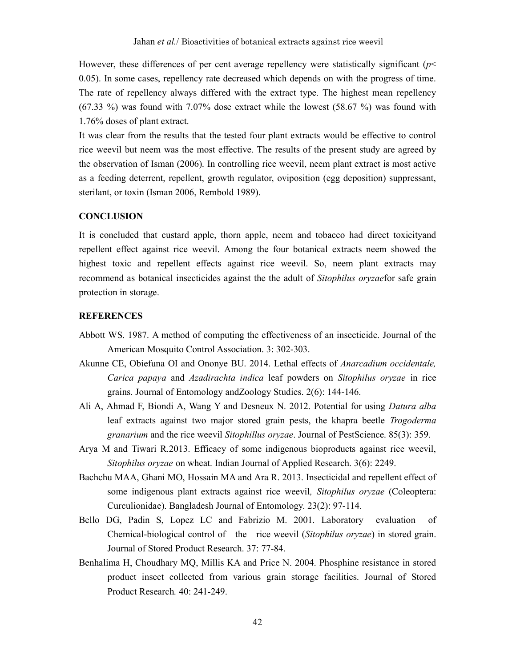However, these differences of per cent average repellency were statistically significant ( $p<$ 0.05). In some cases, repellency rate decreased which depends on with the progress of time. The rate of repellency always differed with the extract type. The highest mean repellency (67.33 %) was found with 7.07% dose extract while the lowest (58.67 %) was found with 1.76% doses of plant extract.

It was clear from the results that the tested four plant extracts would be effective to control rice weevil but neem was the most effective. The results of the present study are agreed by the observation of Isman (2006). In controlling rice weevil, neem plant extract is most active as a feeding deterrent, repellent, growth regulator, oviposition (egg deposition) suppressant, sterilant, or toxin (Isman 2006, Rembold 1989).

#### **CONCLUSION**

It is concluded that custard apple, thorn apple, neem and tobacco had direct toxicityand repellent effect against rice weevil. Among the four botanical extracts neem showed the highest toxic and repellent effects against rice weevil. So, neem plant extracts may recommend as botanical insecticides against the the adult of Sitophilus oryzaefor safe grain protection in storage.

#### **REFERENCES**

- Abbott WS. 1987. A method of computing the effectiveness of an insecticide. Journal of the American Mosquito Control Association. 3: 302-303.
- Akunne CE, Obiefuna OI and Ononye BU. 2014. Lethal effects of *Anarcadium occidentale*, Carica papaya and Azadirachta indica leaf powders on Sitophilus oryzae in rice grains. Journal of Entomology andZoology Studies. 2(6): 144-146.
- Ali A, Ahmad F, Biondi A, Wang Y and Desneux N. 2012. Potential for using Datura alba leaf extracts against two major stored grain pests, the khapra beetle Trogoderma granarium and the rice weevil Sitophillus oryzae. Journal of PestScience. 85(3): 359.
- Arya M and Tiwari R.2013. Efficacy of some indigenous bioproducts against rice weevil, Sitophilus oryzae on wheat. Indian Journal of Applied Research. 3(6): 2249.
- Bachchu MAA, Ghani MO, Hossain MA and Ara R. 2013. Insecticidal and repellent effect of some indigenous plant extracts against rice weevil, Sitophilus oryzae (Coleoptera: Curculionidae). Bangladesh Journal of Entomology. 23(2): 97-114.
- Bello DG, Padin S, Lopez LC and Fabrizio M. 2001. Laboratory evaluation of Chemical-biological control of the rice weevil (Sitophilus oryzae) in stored grain. Journal of Stored Product Research. 37: 77-84.
- Benhalima H, Choudhary MQ, Millis KA and Price N. 2004. Phosphine resistance in stored product insect collected from various grain storage facilities. Journal of Stored Product Research. 40: 241-249.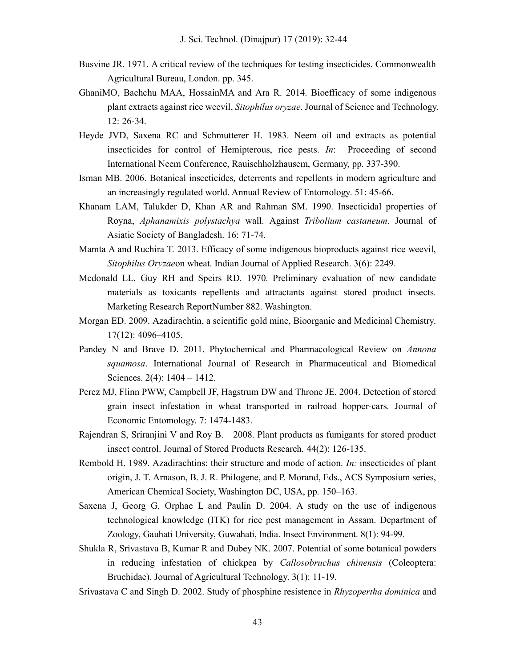- Busvine JR. 1971. A critical review of the techniques for testing insecticides. Commonwealth Agricultural Bureau, London. pp. 345.
- GhaniMO, Bachchu MAA, HossainMA and Ara R. 2014. Bioefficacy of some indigenous plant extracts against rice weevil, Sitophilus oryzae. Journal of Science and Technology. 12: 26-34.
- Heyde JVD, Saxena RC and Schmutterer H. 1983. Neem oil and extracts as potential insecticides for control of Hemipterous, rice pests. In: Proceeding of second International Neem Conference, Rauischholzhausem, Germany, pp. 337-390.
- Isman MB. 2006. Botanical insecticides, deterrents and repellents in modern agriculture and an increasingly regulated world. Annual Review of Entomology. 51: 45-66.
- Khanam LAM, Talukder D, Khan AR and Rahman SM. 1990. Insecticidal properties of Royna, Aphanamixis polystachya wall. Against Tribolium castaneum. Journal of Asiatic Society of Bangladesh. 16: 71-74.
- Mamta A and Ruchira T. 2013. Efficacy of some indigenous bioproducts against rice weevil, Sitophilus Oryzaeon wheat. Indian Journal of Applied Research. 3(6): 2249.
- Mcdonald LL, Guy RH and Speirs RD. 1970. Preliminary evaluation of new candidate materials as toxicants repellents and attractants against stored product insects. Marketing Research ReportNumber 882. Washington.
- Morgan ED. 2009. Azadirachtin, a scientific gold mine, Bioorganic and Medicinal Chemistry. 17(12): 4096–4105.
- Pandey N and Brave D. 2011. Phytochemical and Pharmacological Review on Annona squamosa. International Journal of Research in Pharmaceutical and Biomedical Sciences. 2(4): 1404 – 1412.
- Perez MJ, Flinn PWW, Campbell JF, Hagstrum DW and Throne JE. 2004. Detection of stored grain insect infestation in wheat transported in railroad hopper-cars. Journal of Economic Entomology. 7: 1474-1483.
- Rajendran S, Sriranjini V and Roy B. 2008. Plant products as fumigants for stored product insect control. Journal of Stored Products Research. 44(2): 126-135.
- Rembold H. 1989. Azadirachtins: their structure and mode of action. *In:* insecticides of plant origin, J. T. Arnason, B. J. R. Philogene, and P. Morand, Eds., ACS Symposium series, American Chemical Society, Washington DC, USA, pp. 150–163.
- Saxena J, Georg G, Orphae L and Paulin D. 2004. A study on the use of indigenous technological knowledge (ITK) for rice pest management in Assam. Department of Zoology, Gauhati University, Guwahati, India. Insect Environment. 8(1): 94-99.
- Shukla R, Srivastava B, Kumar R and Dubey NK. 2007. Potential of some botanical powders in reducing infestation of chickpea by Callosobruchus chinensis (Coleoptera: Bruchidae). Journal of Agricultural Technology. 3(1): 11-19.
- Srivastava C and Singh D. 2002. Study of phosphine resistence in *Rhyzopertha dominica* and